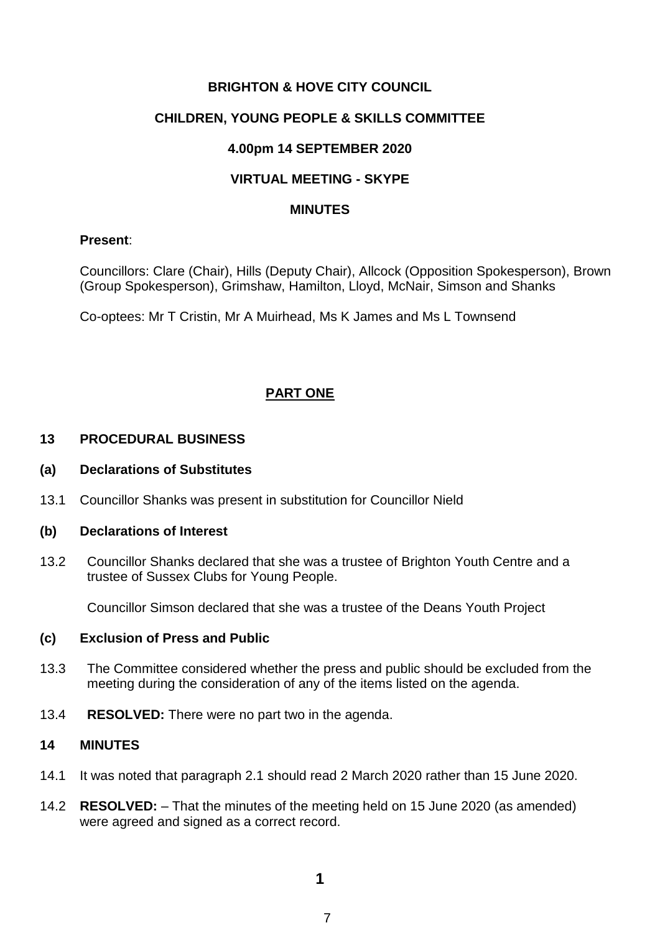# **BRIGHTON & HOVE CITY COUNCIL**

### **CHILDREN, YOUNG PEOPLE & SKILLS COMMITTEE**

#### **4.00pm 14 SEPTEMBER 2020**

# **VIRTUAL MEETING - SKYPE**

#### **MINUTES**

### **Present**:

Councillors: Clare (Chair), Hills (Deputy Chair), Allcock (Opposition Spokesperson), Brown (Group Spokesperson), Grimshaw, Hamilton, Lloyd, McNair, Simson and Shanks

Co-optees: Mr T Cristin, Mr A Muirhead, Ms K James and Ms L Townsend

# **PART ONE**

# **13 PROCEDURAL BUSINESS**

#### **(a) Declarations of Substitutes**

13.1 Councillor Shanks was present in substitution for Councillor Nield

#### **(b) Declarations of Interest**

13.2 Councillor Shanks declared that she was a trustee of Brighton Youth Centre and a trustee of Sussex Clubs for Young People.

Councillor Simson declared that she was a trustee of the Deans Youth Project

#### **(c) Exclusion of Press and Public**

- 13.3 The Committee considered whether the press and public should be excluded from the meeting during the consideration of any of the items listed on the agenda.
- 13.4 **RESOLVED:** There were no part two in the agenda.

### **14 MINUTES**

- 14.1 It was noted that paragraph 2.1 should read 2 March 2020 rather than 15 June 2020.
- 14.2 **RESOLVED:** That the minutes of the meeting held on 15 June 2020 (as amended) were agreed and signed as a correct record.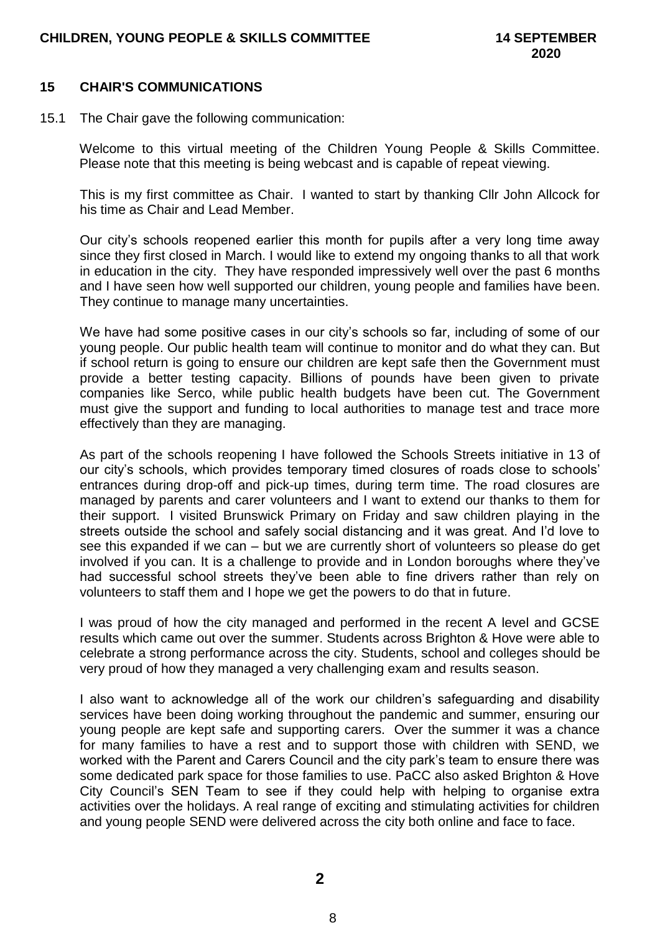### **15 CHAIR'S COMMUNICATIONS**

15.1 The Chair gave the following communication:

Welcome to this virtual meeting of the Children Young People & Skills Committee. Please note that this meeting is being webcast and is capable of repeat viewing.

This is my first committee as Chair. I wanted to start by thanking Cllr John Allcock for his time as Chair and Lead Member.

Our city's schools reopened earlier this month for pupils after a very long time away since they first closed in March. I would like to extend my ongoing thanks to all that work in education in the city. They have responded impressively well over the past 6 months and I have seen how well supported our children, young people and families have been. They continue to manage many uncertainties.

We have had some positive cases in our city's schools so far, including of some of our young people. Our public health team will continue to monitor and do what they can. But if school return is going to ensure our children are kept safe then the Government must provide a better testing capacity. Billions of pounds have been given to private companies like Serco, while public health budgets have been cut. The Government must give the support and funding to local authorities to manage test and trace more effectively than they are managing.

As part of the schools reopening I have followed the Schools Streets initiative in 13 of our city's schools, which provides temporary timed closures of roads close to schools' entrances during drop-off and pick-up times, during term time. The road closures are managed by parents and carer volunteers and I want to extend our thanks to them for their support. I visited Brunswick Primary on Friday and saw children playing in the streets outside the school and safely social distancing and it was great. And I'd love to see this expanded if we can – but we are currently short of volunteers so please do get involved if you can. It is a challenge to provide and in London boroughs where they've had successful school streets they've been able to fine drivers rather than rely on volunteers to staff them and I hope we get the powers to do that in future.

I was proud of how the city managed and performed in the recent A level and GCSE results which came out over the summer. Students across Brighton & Hove were able to celebrate a strong performance across the city. Students, school and colleges should be very proud of how they managed a very challenging exam and results season.

I also want to acknowledge all of the work our children's safeguarding and disability services have been doing working throughout the pandemic and summer, ensuring our young people are kept safe and supporting carers. Over the summer it was a chance for many families to have a rest and to support those with children with SEND, we worked with the Parent and Carers Council and the city park's team to ensure there was some dedicated park space for those families to use. PaCC also asked Brighton & Hove City Council's SEN Team to see if they could help with helping to organise extra activities over the holidays. A real range of exciting and stimulating activities for children and young people SEND were delivered across the city both online and face to face.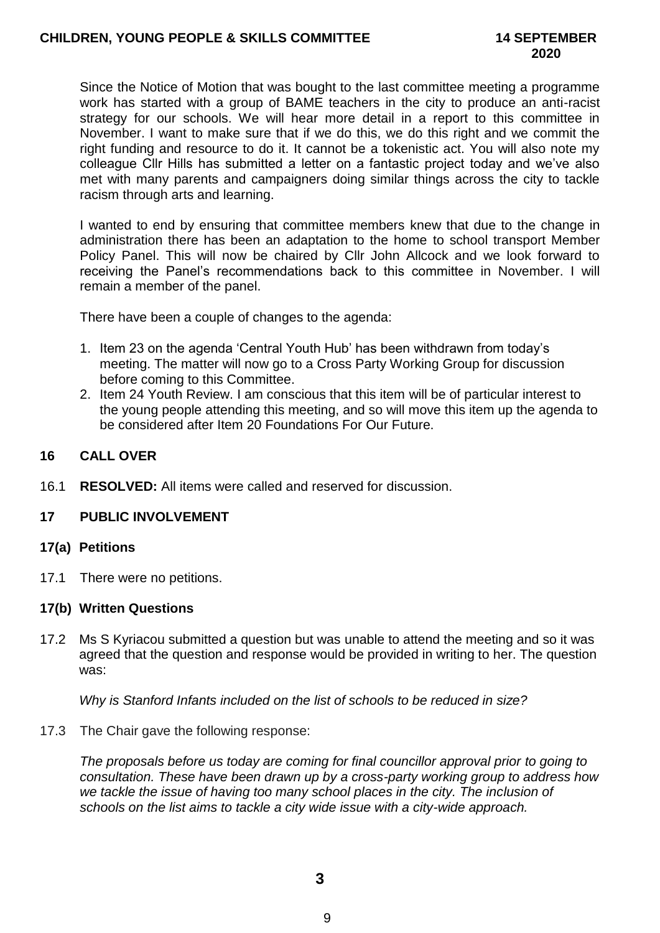Since the Notice of Motion that was bought to the last committee meeting a programme work has started with a group of BAME teachers in the city to produce an anti-racist strategy for our schools. We will hear more detail in a report to this committee in November. I want to make sure that if we do this, we do this right and we commit the right funding and resource to do it. It cannot be a tokenistic act. You will also note my colleague Cllr Hills has submitted a letter on a fantastic project today and we've also met with many parents and campaigners doing similar things across the city to tackle racism through arts and learning.

I wanted to end by ensuring that committee members knew that due to the change in administration there has been an adaptation to the home to school transport Member Policy Panel. This will now be chaired by Cllr John Allcock and we look forward to receiving the Panel's recommendations back to this committee in November. I will remain a member of the panel.

There have been a couple of changes to the agenda:

- 1. Item 23 on the agenda 'Central Youth Hub' has been withdrawn from today's meeting. The matter will now go to a Cross Party Working Group for discussion before coming to this Committee.
- 2. Item 24 Youth Review. I am conscious that this item will be of particular interest to the young people attending this meeting, and so will move this item up the agenda to be considered after Item 20 Foundations For Our Future.

### **16 CALL OVER**

16.1 **RESOLVED:** All items were called and reserved for discussion.

#### **17 PUBLIC INVOLVEMENT**

#### **17(a) Petitions**

17.1 There were no petitions.

#### **17(b) Written Questions**

17.2 Ms S Kyriacou submitted a question but was unable to attend the meeting and so it was agreed that the question and response would be provided in writing to her. The question was:

*Why is Stanford Infants included on the list of schools to be reduced in size?*

17.3 The Chair gave the following response:

*The proposals before us today are coming for final councillor approval prior to going to consultation. These have been drawn up by a cross-party working group to address how we tackle the issue of having too many school places in the city. The inclusion of schools on the list aims to tackle a city wide issue with a city-wide approach.*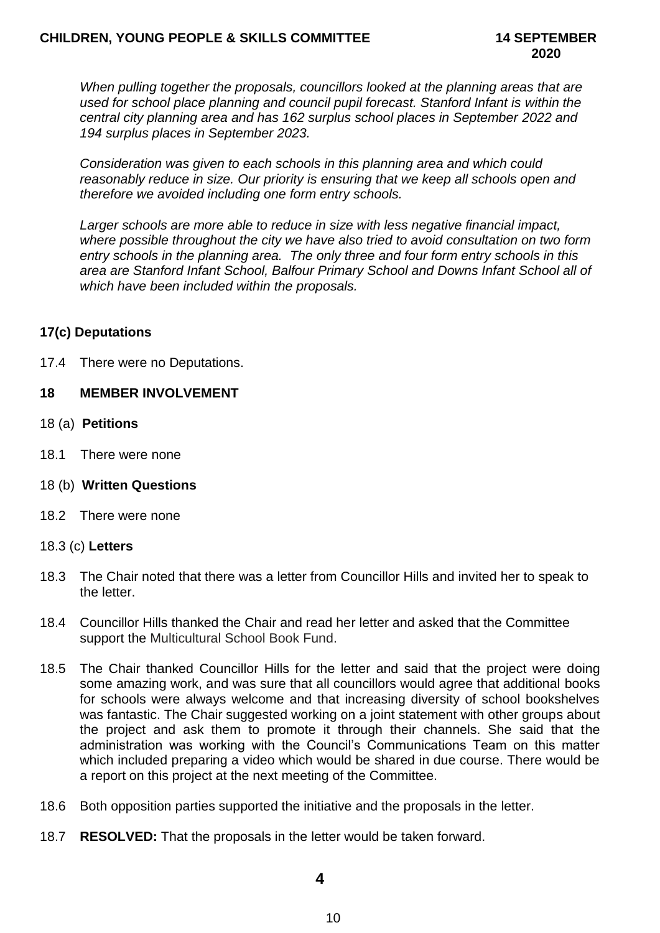*When pulling together the proposals, councillors looked at the planning areas that are used for school place planning and council pupil forecast. Stanford Infant is within the central city planning area and has 162 surplus school places in September 2022 and 194 surplus places in September 2023.*

*Consideration was given to each schools in this planning area and which could reasonably reduce in size. Our priority is ensuring that we keep all schools open and therefore we avoided including one form entry schools.* 

*Larger schools are more able to reduce in size with less negative financial impact, where possible throughout the city we have also tried to avoid consultation on two form entry schools in the planning area. The only three and four form entry schools in this area are Stanford Infant School, Balfour Primary School and Downs Infant School all of which have been included within the proposals.*

# **17(c) Deputations**

17.4 There were no Deputations.

# **18 MEMBER INVOLVEMENT**

- 18 (a) **Petitions**
- 18.1 There were none
- 18 (b) **Written Questions**
- 18.2 There were none

#### 18.3 (c) **Letters**

- 18.3 The Chair noted that there was a letter from Councillor Hills and invited her to speak to the letter.
- 18.4 Councillor Hills thanked the Chair and read her letter and asked that the Committee support the Multicultural School Book Fund.
- 18.5 The Chair thanked Councillor Hills for the letter and said that the project were doing some amazing work, and was sure that all councillors would agree that additional books for schools were always welcome and that increasing diversity of school bookshelves was fantastic. The Chair suggested working on a joint statement with other groups about the project and ask them to promote it through their channels. She said that the administration was working with the Council's Communications Team on this matter which included preparing a video which would be shared in due course. There would be a report on this project at the next meeting of the Committee.
- 18.6 Both opposition parties supported the initiative and the proposals in the letter.
- 18.7 **RESOLVED:** That the proposals in the letter would be taken forward.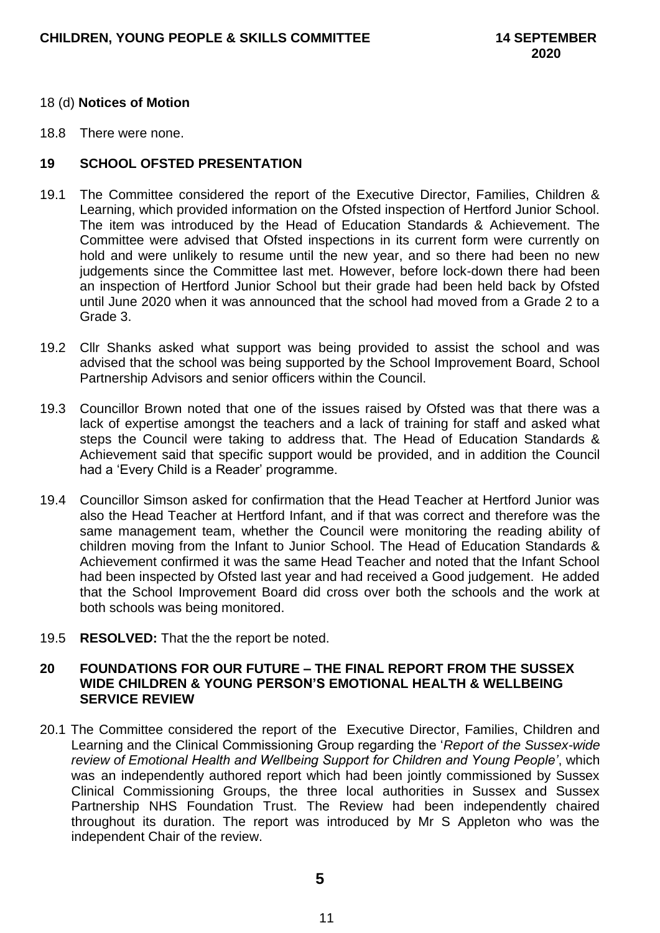#### 18 (d) **Notices of Motion**

18.8 There were none.

### **19 SCHOOL OFSTED PRESENTATION**

- 19.1 The Committee considered the report of the Executive Director, Families, Children & Learning, which provided information on the Ofsted inspection of Hertford Junior School. The item was introduced by the Head of Education Standards & Achievement. The Committee were advised that Ofsted inspections in its current form were currently on hold and were unlikely to resume until the new year, and so there had been no new judgements since the Committee last met. However, before lock-down there had been an inspection of Hertford Junior School but their grade had been held back by Ofsted until June 2020 when it was announced that the school had moved from a Grade 2 to a Grade 3.
- 19.2 Cllr Shanks asked what support was being provided to assist the school and was advised that the school was being supported by the School Improvement Board, School Partnership Advisors and senior officers within the Council.
- 19.3 Councillor Brown noted that one of the issues raised by Ofsted was that there was a lack of expertise amongst the teachers and a lack of training for staff and asked what steps the Council were taking to address that. The Head of Education Standards & Achievement said that specific support would be provided, and in addition the Council had a 'Every Child is a Reader' programme.
- 19.4 Councillor Simson asked for confirmation that the Head Teacher at Hertford Junior was also the Head Teacher at Hertford Infant, and if that was correct and therefore was the same management team, whether the Council were monitoring the reading ability of children moving from the Infant to Junior School. The Head of Education Standards & Achievement confirmed it was the same Head Teacher and noted that the Infant School had been inspected by Ofsted last year and had received a Good judgement. He added that the School Improvement Board did cross over both the schools and the work at both schools was being monitored.
- 19.5 **RESOLVED:** That the the report be noted.

### **20 FOUNDATIONS FOR OUR FUTURE – THE FINAL REPORT FROM THE SUSSEX WIDE CHILDREN & YOUNG PERSON'S EMOTIONAL HEALTH & WELLBEING SERVICE REVIEW**

20.1 The Committee considered the report of the Executive Director, Families, Children and Learning and the Clinical Commissioning Group regarding the '*Report of the Sussex-wide review of Emotional Health and Wellbeing Support for Children and Young People'*, which was an independently authored report which had been jointly commissioned by Sussex Clinical Commissioning Groups, the three local authorities in Sussex and Sussex Partnership NHS Foundation Trust. The Review had been independently chaired throughout its duration. The report was introduced by Mr S Appleton who was the independent Chair of the review.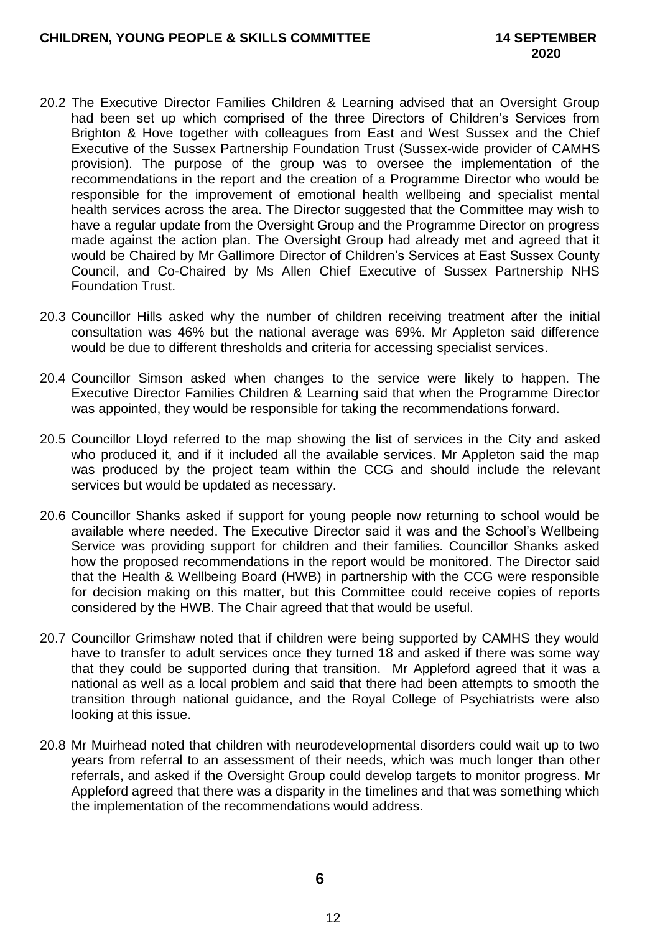- 20.2 The Executive Director Families Children & Learning advised that an Oversight Group had been set up which comprised of the three Directors of Children's Services from Brighton & Hove together with colleagues from East and West Sussex and the Chief Executive of the Sussex Partnership Foundation Trust (Sussex-wide provider of CAMHS provision). The purpose of the group was to oversee the implementation of the recommendations in the report and the creation of a Programme Director who would be responsible for the improvement of emotional health wellbeing and specialist mental health services across the area. The Director suggested that the Committee may wish to have a regular update from the Oversight Group and the Programme Director on progress made against the action plan. The Oversight Group had already met and agreed that it would be Chaired by Mr Gallimore Director of Children's Services at East Sussex County Council, and Co-Chaired by Ms Allen Chief Executive of Sussex Partnership NHS Foundation Trust.
- 20.3 Councillor Hills asked why the number of children receiving treatment after the initial consultation was 46% but the national average was 69%. Mr Appleton said difference would be due to different thresholds and criteria for accessing specialist services.
- 20.4 Councillor Simson asked when changes to the service were likely to happen. The Executive Director Families Children & Learning said that when the Programme Director was appointed, they would be responsible for taking the recommendations forward.
- 20.5 Councillor Lloyd referred to the map showing the list of services in the City and asked who produced it, and if it included all the available services. Mr Appleton said the map was produced by the project team within the CCG and should include the relevant services but would be updated as necessary.
- 20.6 Councillor Shanks asked if support for young people now returning to school would be available where needed. The Executive Director said it was and the School's Wellbeing Service was providing support for children and their families. Councillor Shanks asked how the proposed recommendations in the report would be monitored. The Director said that the Health & Wellbeing Board (HWB) in partnership with the CCG were responsible for decision making on this matter, but this Committee could receive copies of reports considered by the HWB. The Chair agreed that that would be useful.
- 20.7 Councillor Grimshaw noted that if children were being supported by CAMHS they would have to transfer to adult services once they turned 18 and asked if there was some way that they could be supported during that transition. Mr Appleford agreed that it was a national as well as a local problem and said that there had been attempts to smooth the transition through national guidance, and the Royal College of Psychiatrists were also looking at this issue.
- 20.8 Mr Muirhead noted that children with neurodevelopmental disorders could wait up to two years from referral to an assessment of their needs, which was much longer than other referrals, and asked if the Oversight Group could develop targets to monitor progress. Mr Appleford agreed that there was a disparity in the timelines and that was something which the implementation of the recommendations would address.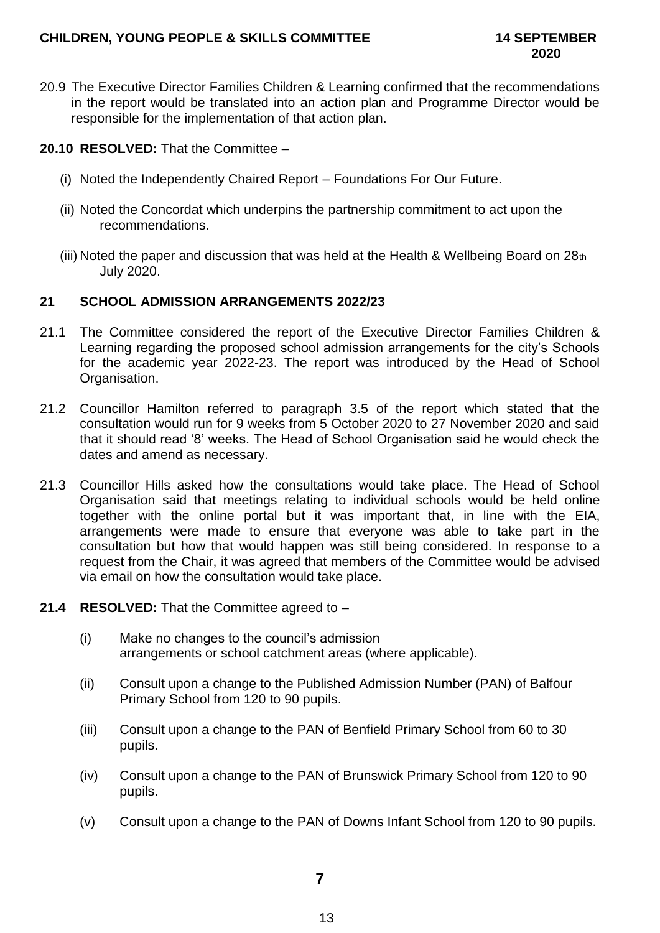# **CHILDREN, YOUNG PEOPLE & SKILLS COMMITTEE 14 SEPTEMBER**

20.9 The Executive Director Families Children & Learning confirmed that the recommendations in the report would be translated into an action plan and Programme Director would be responsible for the implementation of that action plan.

# **20.10 RESOLVED:** That the Committee –

- (i) Noted the Independently Chaired Report Foundations For Our Future.
- (ii) Noted the Concordat which underpins the partnership commitment to act upon the recommendations.
- (iii) Noted the paper and discussion that was held at the Health & Wellbeing Board on 28th July 2020.

# **21 SCHOOL ADMISSION ARRANGEMENTS 2022/23**

- 21.1 The Committee considered the report of the Executive Director Families Children & Learning regarding the proposed school admission arrangements for the city's Schools for the academic year 2022-23. The report was introduced by the Head of School Organisation.
- 21.2 Councillor Hamilton referred to paragraph 3.5 of the report which stated that the consultation would run for 9 weeks from 5 October 2020 to 27 November 2020 and said that it should read '8' weeks. The Head of School Organisation said he would check the dates and amend as necessary.
- 21.3 Councillor Hills asked how the consultations would take place. The Head of School Organisation said that meetings relating to individual schools would be held online together with the online portal but it was important that, in line with the EIA, arrangements were made to ensure that everyone was able to take part in the consultation but how that would happen was still being considered. In response to a request from the Chair, it was agreed that members of the Committee would be advised via email on how the consultation would take place.
- **21.4 RESOLVED:** That the Committee agreed to
	- (i) Make no changes to the council's admission arrangements or school catchment areas (where applicable).
	- (ii) Consult upon a change to the Published Admission Number (PAN) of Balfour Primary School from 120 to 90 pupils.
	- (iii) Consult upon a change to the PAN of Benfield Primary School from 60 to 30 pupils.
	- (iv) Consult upon a change to the PAN of Brunswick Primary School from 120 to 90 pupils.
	- (v) Consult upon a change to the PAN of Downs Infant School from 120 to 90 pupils.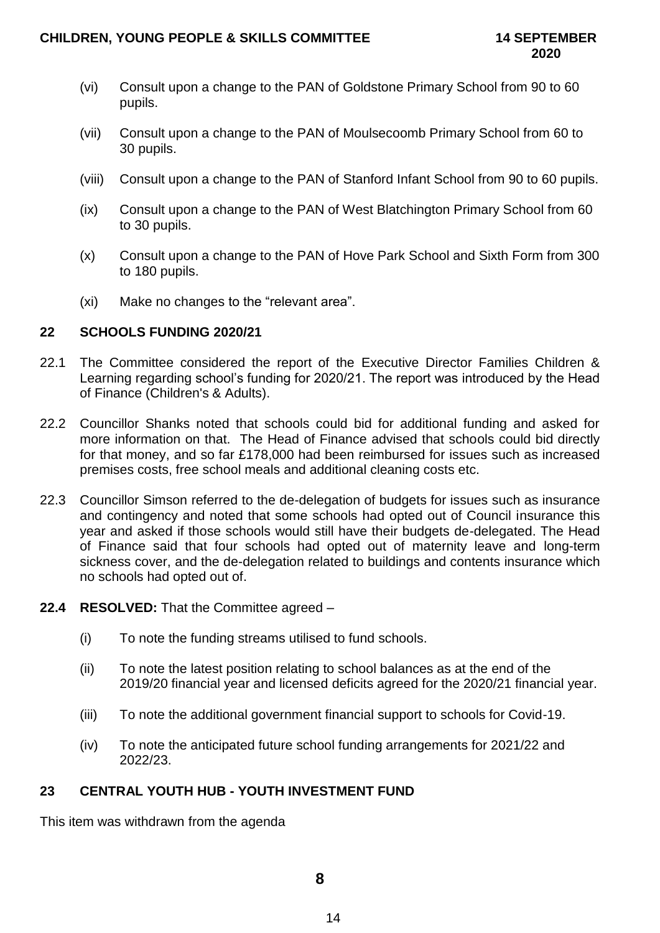- (vi) Consult upon a change to the PAN of Goldstone Primary School from 90 to 60 pupils.
- (vii) Consult upon a change to the PAN of Moulsecoomb Primary School from 60 to 30 pupils.
- (viii) Consult upon a change to the PAN of Stanford Infant School from 90 to 60 pupils.
- (ix) Consult upon a change to the PAN of West Blatchington Primary School from 60 to 30 pupils.
- (x) Consult upon a change to the PAN of Hove Park School and Sixth Form from 300 to 180 pupils.
- (xi) Make no changes to the "relevant area".

# **22 SCHOOLS FUNDING 2020/21**

- 22.1 The Committee considered the report of the Executive Director Families Children & Learning regarding school's funding for 2020/21. The report was introduced by the Head of Finance (Children's & Adults).
- 22.2 Councillor Shanks noted that schools could bid for additional funding and asked for more information on that. The Head of Finance advised that schools could bid directly for that money, and so far £178,000 had been reimbursed for issues such as increased premises costs, free school meals and additional cleaning costs etc.
- 22.3 Councillor Simson referred to the de-delegation of budgets for issues such as insurance and contingency and noted that some schools had opted out of Council insurance this year and asked if those schools would still have their budgets de-delegated. The Head of Finance said that four schools had opted out of maternity leave and long-term sickness cover, and the de-delegation related to buildings and contents insurance which no schools had opted out of.
- **22.4 RESOLVED:** That the Committee agreed
	- (i) To note the funding streams utilised to fund schools.
	- (ii) To note the latest position relating to school balances as at the end of the 2019/20 financial year and licensed deficits agreed for the 2020/21 financial year.
	- (iii) To note the additional government financial support to schools for Covid-19.
	- (iv) To note the anticipated future school funding arrangements for 2021/22 and 2022/23.

# **23 CENTRAL YOUTH HUB - YOUTH INVESTMENT FUND**

This item was withdrawn from the agenda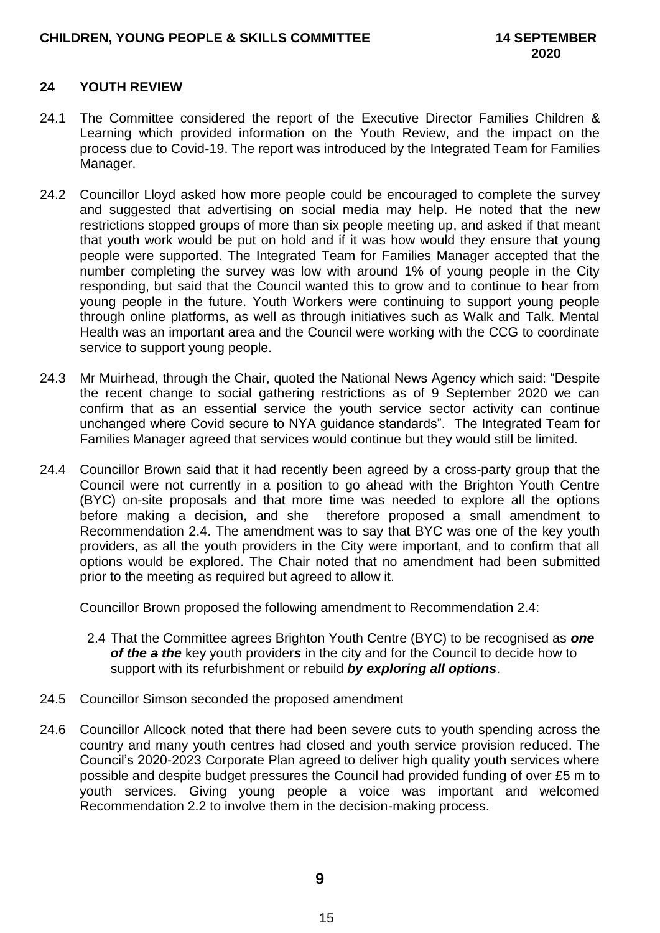# **24 YOUTH REVIEW**

- 24.1 The Committee considered the report of the Executive Director Families Children & Learning which provided information on the Youth Review, and the impact on the process due to Covid-19. The report was introduced by the Integrated Team for Families Manager.
- 24.2 Councillor Lloyd asked how more people could be encouraged to complete the survey and suggested that advertising on social media may help. He noted that the new restrictions stopped groups of more than six people meeting up, and asked if that meant that youth work would be put on hold and if it was how would they ensure that young people were supported. The Integrated Team for Families Manager accepted that the number completing the survey was low with around 1% of young people in the City responding, but said that the Council wanted this to grow and to continue to hear from young people in the future. Youth Workers were continuing to support young people through online platforms, as well as through initiatives such as Walk and Talk. Mental Health was an important area and the Council were working with the CCG to coordinate service to support young people.
- 24.3 Mr Muirhead, through the Chair, quoted the National News Agency which said: "Despite the recent change to social gathering restrictions as of 9 September 2020 we can confirm that as an essential service the youth service sector activity can continue unchanged where Covid secure to NYA guidance standards". The Integrated Team for Families Manager agreed that services would continue but they would still be limited.
- 24.4 Councillor Brown said that it had recently been agreed by a cross-party group that the Council were not currently in a position to go ahead with the Brighton Youth Centre (BYC) on-site proposals and that more time was needed to explore all the options before making a decision, and she therefore proposed a small amendment to Recommendation 2.4. The amendment was to say that BYC was one of the key youth providers, as all the youth providers in the City were important, and to confirm that all options would be explored. The Chair noted that no amendment had been submitted prior to the meeting as required but agreed to allow it.

Councillor Brown proposed the following amendment to Recommendation 2.4:

- 2.4 That the Committee agrees Brighton Youth Centre (BYC) to be recognised as *one of the a the* key youth provider*s* in the city and for the Council to decide how to support with its refurbishment or rebuild *by exploring all options*.
- 24.5 Councillor Simson seconded the proposed amendment
- 24.6 Councillor Allcock noted that there had been severe cuts to youth spending across the country and many youth centres had closed and youth service provision reduced. The Council's 2020-2023 Corporate Plan agreed to deliver high quality youth services where possible and despite budget pressures the Council had provided funding of over £5 m to youth services. Giving young people a voice was important and welcomed Recommendation 2.2 to involve them in the decision-making process.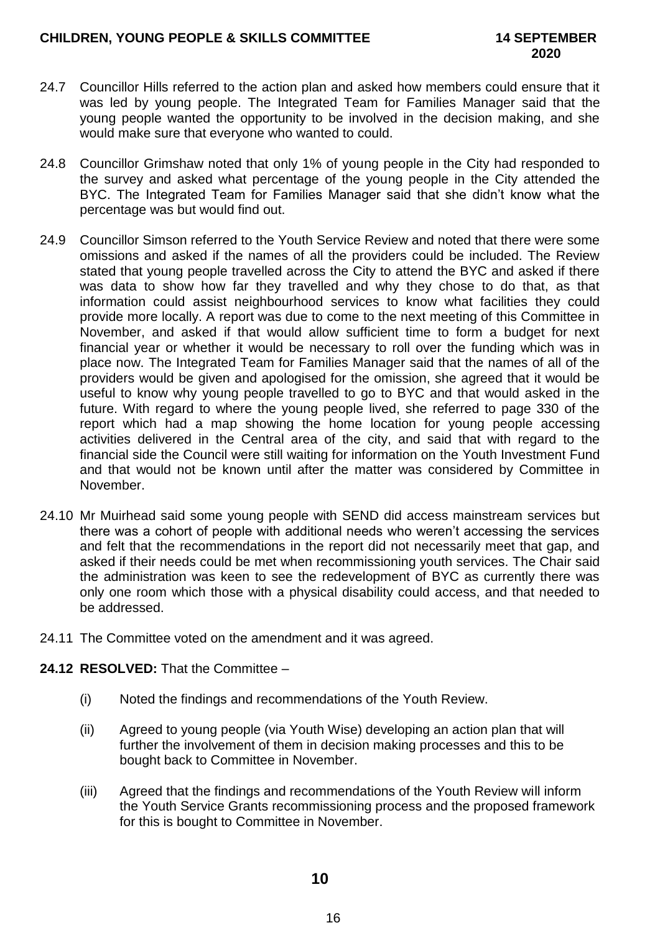- 24.7 Councillor Hills referred to the action plan and asked how members could ensure that it was led by young people. The Integrated Team for Families Manager said that the young people wanted the opportunity to be involved in the decision making, and she would make sure that everyone who wanted to could.
- 24.8 Councillor Grimshaw noted that only 1% of young people in the City had responded to the survey and asked what percentage of the young people in the City attended the BYC. The Integrated Team for Families Manager said that she didn't know what the percentage was but would find out.
- 24.9 Councillor Simson referred to the Youth Service Review and noted that there were some omissions and asked if the names of all the providers could be included. The Review stated that young people travelled across the City to attend the BYC and asked if there was data to show how far they travelled and why they chose to do that, as that information could assist neighbourhood services to know what facilities they could provide more locally. A report was due to come to the next meeting of this Committee in November, and asked if that would allow sufficient time to form a budget for next financial year or whether it would be necessary to roll over the funding which was in place now. The Integrated Team for Families Manager said that the names of all of the providers would be given and apologised for the omission, she agreed that it would be useful to know why young people travelled to go to BYC and that would asked in the future. With regard to where the young people lived, she referred to page 330 of the report which had a map showing the home location for young people accessing activities delivered in the Central area of the city, and said that with regard to the financial side the Council were still waiting for information on the Youth Investment Fund and that would not be known until after the matter was considered by Committee in November.
- 24.10 Mr Muirhead said some young people with SEND did access mainstream services but there was a cohort of people with additional needs who weren't accessing the services and felt that the recommendations in the report did not necessarily meet that gap, and asked if their needs could be met when recommissioning youth services. The Chair said the administration was keen to see the redevelopment of BYC as currently there was only one room which those with a physical disability could access, and that needed to be addressed.
- 24.11 The Committee voted on the amendment and it was agreed.

# **24.12 RESOLVED:** That the Committee –

- (i) Noted the findings and recommendations of the Youth Review.
- (ii) Agreed to young people (via Youth Wise) developing an action plan that will further the involvement of them in decision making processes and this to be bought back to Committee in November.
- (iii) Agreed that the findings and recommendations of the Youth Review will inform the Youth Service Grants recommissioning process and the proposed framework for this is bought to Committee in November.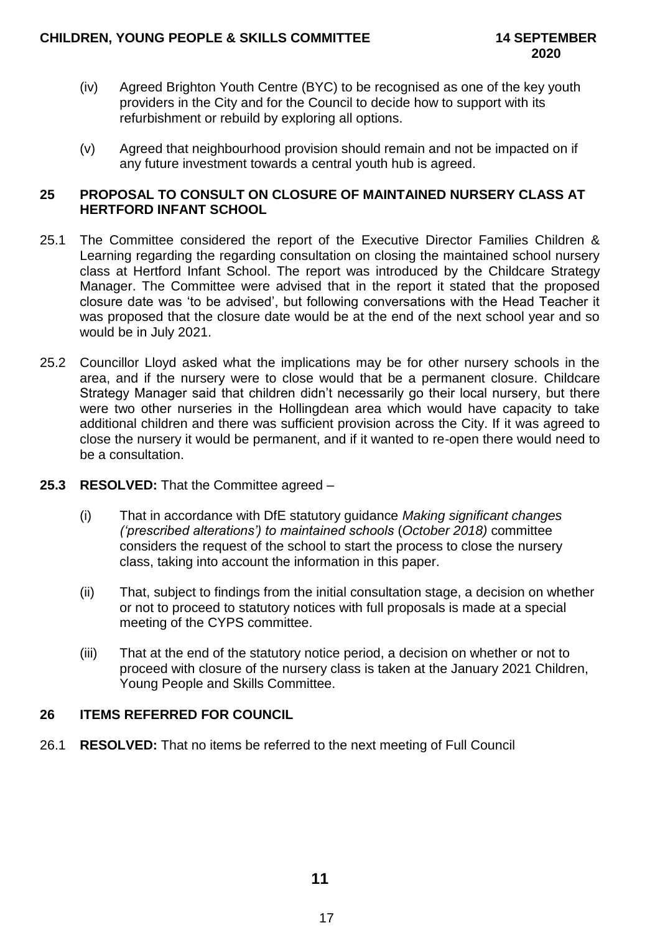- (iv) Agreed Brighton Youth Centre (BYC) to be recognised as one of the key youth providers in the City and for the Council to decide how to support with its refurbishment or rebuild by exploring all options.
- (v) Agreed that neighbourhood provision should remain and not be impacted on if any future investment towards a central youth hub is agreed.

# **25 PROPOSAL TO CONSULT ON CLOSURE OF MAINTAINED NURSERY CLASS AT HERTFORD INFANT SCHOOL**

- 25.1 The Committee considered the report of the Executive Director Families Children & Learning regarding the regarding consultation on closing the maintained school nursery class at Hertford Infant School. The report was introduced by the Childcare Strategy Manager. The Committee were advised that in the report it stated that the proposed closure date was 'to be advised', but following conversations with the Head Teacher it was proposed that the closure date would be at the end of the next school year and so would be in July 2021.
- 25.2 Councillor Lloyd asked what the implications may be for other nursery schools in the area, and if the nursery were to close would that be a permanent closure. Childcare Strategy Manager said that children didn't necessarily go their local nursery, but there were two other nurseries in the Hollingdean area which would have capacity to take additional children and there was sufficient provision across the City. If it was agreed to close the nursery it would be permanent, and if it wanted to re-open there would need to be a consultation.
- **25.3 RESOLVED:** That the Committee agreed
	- (i) That in accordance with DfE statutory guidance *Making significant changes ('prescribed alterations') to maintained schools* (*October 2018)* committee considers the request of the school to start the process to close the nursery class, taking into account the information in this paper.
	- (ii) That, subject to findings from the initial consultation stage, a decision on whether or not to proceed to statutory notices with full proposals is made at a special meeting of the CYPS committee.
	- (iii) That at the end of the statutory notice period, a decision on whether or not to proceed with closure of the nursery class is taken at the January 2021 Children, Young People and Skills Committee.

# **26 ITEMS REFERRED FOR COUNCIL**

26.1 **RESOLVED:** That no items be referred to the next meeting of Full Council